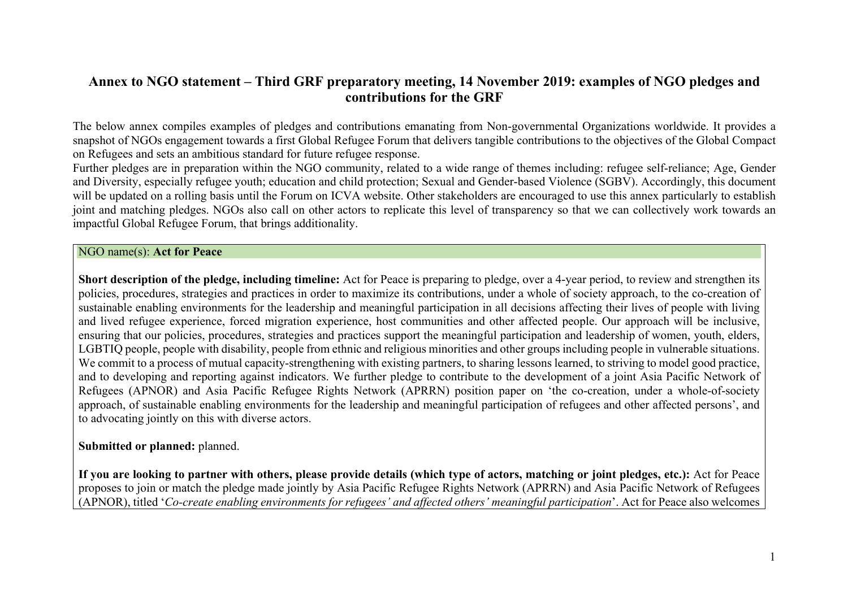# **Annex to NGO statement – Third GRF preparatory meeting, 14 November 2019: examples of NGO pledges and contributions for the GRF**

The below annex compiles examples of pledges and contributions emanating from Non-governmental Organizations worldwide. It provides a snapshot of NGOs engagement towards a first Global Refugee Forum that delivers tangible contributions to the objectives of the Global Compact on Refugees and sets an ambitious standard for future refugee response.

Further pledges are in preparation within the NGO community, related to a wide range of themes including: refugee self-reliance; Age, Gender and Diversity, especially refugee youth; education and child protection; Sexual and Gender-based Violence (SGBV). Accordingly, this document will be updated on a rolling basis until the Forum on ICVA website. Other stakeholders are encouraged to use this annex particularly to establish joint and matching pledges. NGOs also call on other actors to replicate this level of transparency so that we can collectively work towards an impactful Global Refugee Forum, that brings additionality.

#### NGO name(s): **Act for Peace**

**Short description of the pledge, including timeline:** Act for Peace is preparing to pledge, over a 4-year period, to review and strengthen its policies, procedures, strategies and practices in order to maximize its contributions, under a whole of society approach, to the co-creation of sustainable enabling environments for the leadership and meaningful participation in all decisions affecting their lives of people with living and lived refugee experience, forced migration experience, host communities and other affected people. Our approach will be inclusive, ensuring that our policies, procedures, strategies and practices support the meaningful participation and leadership of women, youth, elders, LGBTIQ people, people with disability, people from ethnic and religious minorities and other groups including people in vulnerable situations. We commit to a process of mutual capacity-strengthening with existing partners, to sharing lessons learned, to striving to model good practice, and to developing and reporting against indicators. We further pledge to contribute to the development of a joint Asia Pacific Network of Refugees (APNOR) and Asia Pacific Refugee Rights Network (APRRN) position paper on 'the co-creation, under a whole-of-society approach, of sustainable enabling environments for the leadership and meaningful participation of refugees and other affected persons', and to advocating jointly on this with diverse actors.

# **Submitted or planned:** planned.

**If you are looking to partner with others, please provide details (which type of actors, matching or joint pledges, etc.):** Act for Peace proposes to join or match the pledge made jointly by Asia Pacific Refugee Rights Network (APRRN) and Asia Pacific Network of Refugees (APNOR), titled '*Co-create enabling environments for refugees' and affected others' meaningful participation*'. Act for Peace also welcomes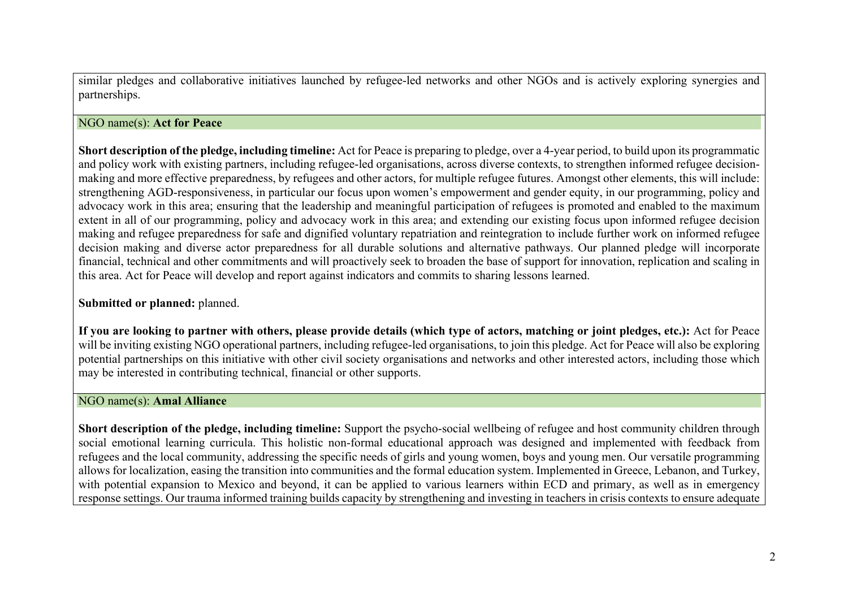similar pledges and collaborative initiatives launched by refugee-led networks and other NGOs and is actively exploring synergies and partnerships.

## NGO name(s): **Act for Peace**

**Short description of the pledge, including timeline:** Act for Peace is preparing to pledge, over a 4-year period, to build upon its programmatic and policy work with existing partners, including refugee-led organisations, across diverse contexts, to strengthen informed refugee decisionmaking and more effective preparedness, by refugees and other actors, for multiple refugee futures. Amongst other elements, this will include: strengthening AGD-responsiveness, in particular our focus upon women's empowerment and gender equity, in our programming, policy and advocacy work in this area; ensuring that the leadership and meaningful participation of refugees is promoted and enabled to the maximum extent in all of our programming, policy and advocacy work in this area; and extending our existing focus upon informed refugee decision making and refugee preparedness for safe and dignified voluntary repatriation and reintegration to include further work on informed refugee decision making and diverse actor preparedness for all durable solutions and alternative pathways. Our planned pledge will incorporate financial, technical and other commitments and will proactively seek to broaden the base of support for innovation, replication and scaling in this area. Act for Peace will develop and report against indicators and commits to sharing lessons learned.

# **Submitted or planned:** planned.

**If you are looking to partner with others, please provide details (which type of actors, matching or joint pledges, etc.):** Act for Peace will be inviting existing NGO operational partners, including refugee-led organisations, to join this pledge. Act for Peace will also be exploring potential partnerships on this initiative with other civil society organisations and networks and other interested actors, including those which may be interested in contributing technical, financial or other supports.

### NGO name(s): **Amal Alliance**

**Short description of the pledge, including timeline:** Support the psycho-social wellbeing of refugee and host community children through social emotional learning curricula. This holistic non-formal educational approach was designed and implemented with feedback from refugees and the local community, addressing the specific needs of girls and young women, boys and young men. Our versatile programming allows for localization, easing the transition into communities and the formal education system. Implemented in Greece, Lebanon, and Turkey, with potential expansion to Mexico and beyond, it can be applied to various learners within ECD and primary, as well as in emergency response settings. Our trauma informed training builds capacity by strengthening and investing in teachers in crisis contexts to ensure adequate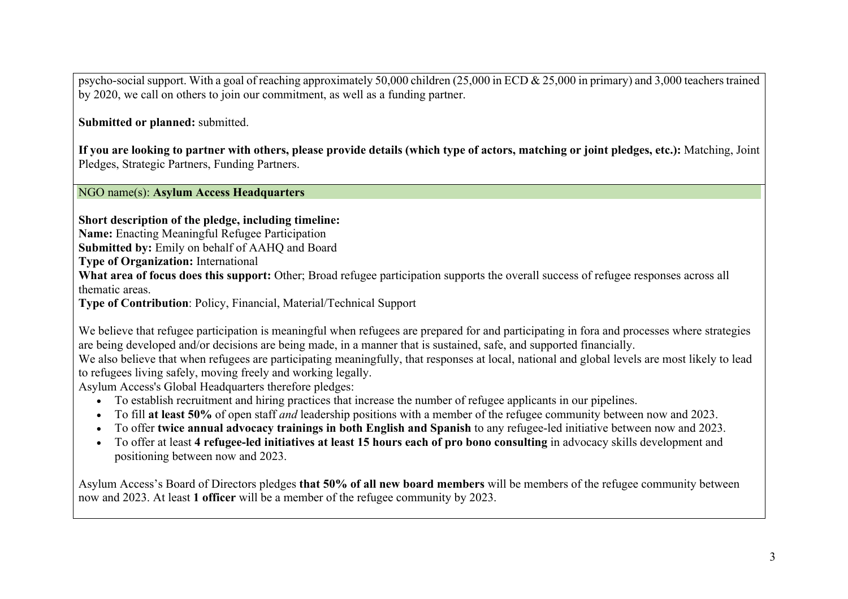psycho-social support. With a goal of reaching approximately 50,000 children (25,000 in ECD & 25,000 in primary) and 3,000 teacherstrained by 2020, we call on others to join our commitment, as well as a funding partner.

**Submitted or planned:** submitted.

**If you are looking to partner with others, please provide details (which type of actors, matching or joint pledges, etc.):** Matching, Joint Pledges, Strategic Partners, Funding Partners.

NGO name(s): **Asylum Access Headquarters**

**Short description of the pledge, including timeline:**

**Name:** Enacting Meaningful Refugee Participation

**Submitted by:** Emily on behalf of AAHQ and Board

**Type of Organization:** International

**What area of focus does this support:** Other; Broad refugee participation supports the overall success of refugee responses across all thematic areas.

**Type of Contribution**: Policy, Financial, Material/Technical Support

We believe that refugee participation is meaningful when refugees are prepared for and participating in fora and processes where strategies are being developed and/or decisions are being made, in a manner that is sustained, safe, and supported financially. We also believe that when refugees are participating meaningfully, that responses at local, national and global levels are most likely to lead

to refugees living safely, moving freely and working legally.

Asylum Access's Global Headquarters therefore pledges:

- To establish recruitment and hiring practices that increase the number of refugee applicants in our pipelines.
- To fill **at least 50%** of open staff *and* leadership positions with a member of the refugee community between now and 2023.
- To offer **twice annual advocacy trainings in both English and Spanish** to any refugee-led initiative between now and 2023.
- To offer at least **4 refugee-led initiatives at least 15 hours each of pro bono consulting** in advocacy skills development and positioning between now and 2023.

Asylum Access's Board of Directors pledges **that 50% of all new board members** will be members of the refugee community between now and 2023. At least **1 officer** will be a member of the refugee community by 2023.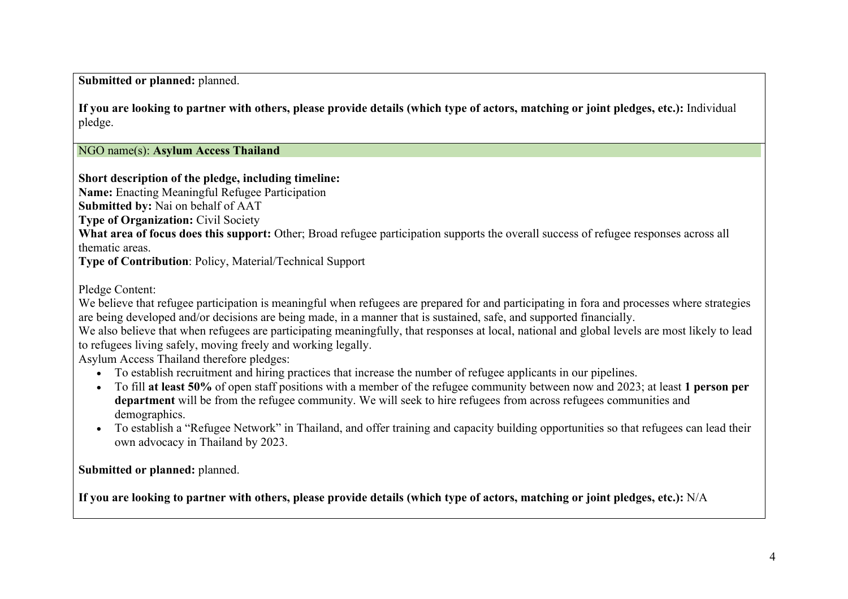**Submitted or planned:** planned.

**If you are looking to partner with others, please provide details (which type of actors, matching or joint pledges, etc.):** Individual pledge.

NGO name(s): **Asylum Access Thailand**

**Short description of the pledge, including timeline:**

**Name:** Enacting Meaningful Refugee Participation

**Submitted by:** Nai on behalf of AAT

**Type of Organization:** Civil Society

**What area of focus does this support:** Other; Broad refugee participation supports the overall success of refugee responses across all thematic areas.

**Type of Contribution**: Policy, Material/Technical Support

Pledge Content:

We believe that refugee participation is meaningful when refugees are prepared for and participating in fora and processes where strategies are being developed and/or decisions are being made, in a manner that is sustained, safe, and supported financially.

We also believe that when refugees are participating meaningfully, that responses at local, national and global levels are most likely to lead to refugees living safely, moving freely and working legally.

Asylum Access Thailand therefore pledges:

- To establish recruitment and hiring practices that increase the number of refugee applicants in our pipelines.
- To fill **at least 50%** of open staff positions with a member of the refugee community between now and 2023; at least **1 person per department** will be from the refugee community. We will seek to hire refugees from across refugees communities and demographics.
- To establish a "Refugee Network" in Thailand, and offer training and capacity building opportunities so that refugees can lead their own advocacy in Thailand by 2023.

**Submitted or planned:** planned.

**If you are looking to partner with others, please provide details (which type of actors, matching or joint pledges, etc.):** N/A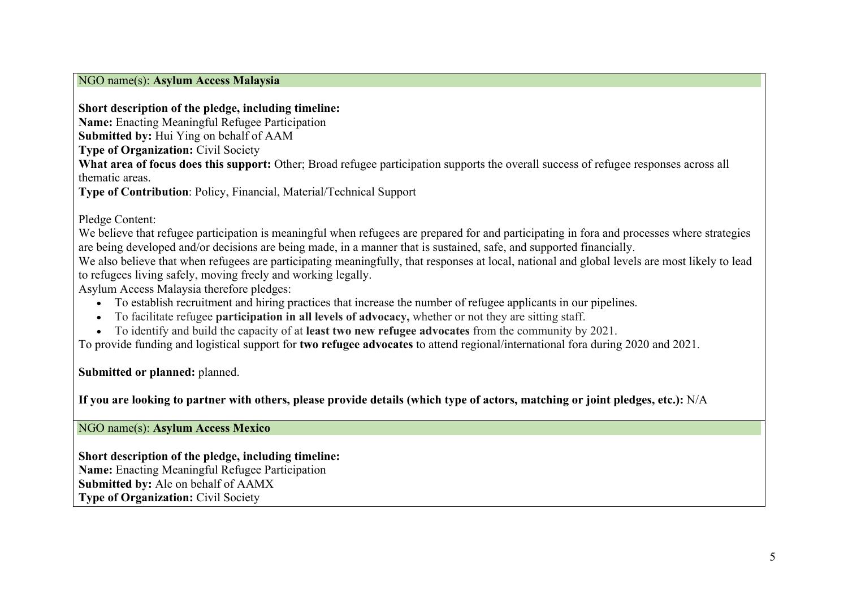#### NGO name(s): **Asylum Access Malaysia**

## **Short description of the pledge, including timeline:**

**Name:** Enacting Meaningful Refugee Participation

**Submitted by:** Hui Ying on behalf of AAM

**Type of Organization:** Civil Society

**What area of focus does this support:** Other; Broad refugee participation supports the overall success of refugee responses across all thematic areas.

**Type of Contribution**: Policy, Financial, Material/Technical Support

Pledge Content:

We believe that refugee participation is meaningful when refugees are prepared for and participating in fora and processes where strategies are being developed and/or decisions are being made, in a manner that is sustained, safe, and supported financially.

We also believe that when refugees are participating meaningfully, that responses at local, national and global levels are most likely to lead to refugees living safely, moving freely and working legally.

Asylum Access Malaysia therefore pledges:

- To establish recruitment and hiring practices that increase the number of refugee applicants in our pipelines.
- To facilitate refugee **participation in all levels of advocacy,** whether or not they are sitting staff.
- To identify and build the capacity of at **least two new refugee advocates** from the community by 2021.

To provide funding and logistical support for **two refugee advocates** to attend regional/international fora during 2020 and 2021.

**Submitted or planned:** planned.

**If you are looking to partner with others, please provide details (which type of actors, matching or joint pledges, etc.):** N/A

NGO name(s): **Asylum Access Mexico**

**Short description of the pledge, including timeline: Name:** Enacting Meaningful Refugee Participation **Submitted by:** Ale on behalf of AAMX **Type of Organization:** Civil Society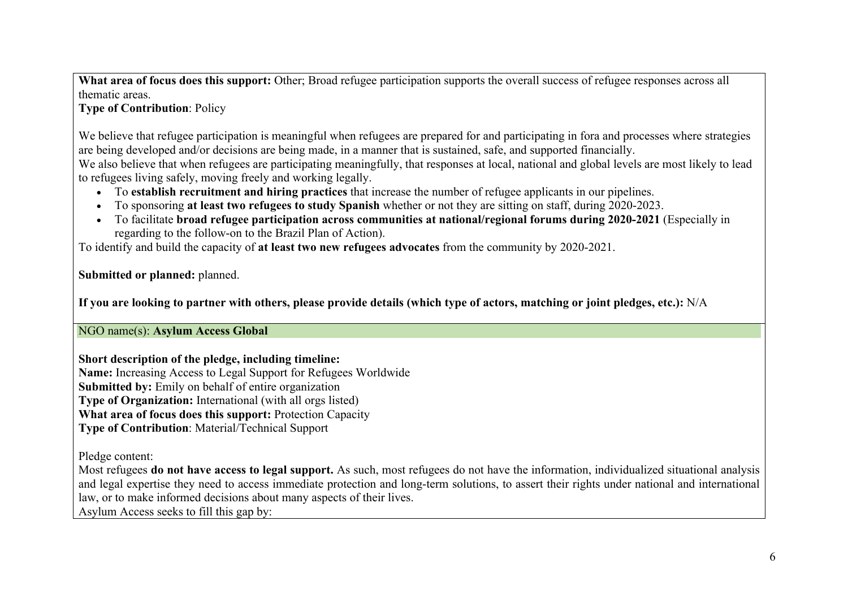**What area of focus does this support:** Other; Broad refugee participation supports the overall success of refugee responses across all thematic areas.

# **Type of Contribution**: Policy

We believe that refugee participation is meaningful when refugees are prepared for and participating in fora and processes where strategies are being developed and/or decisions are being made, in a manner that is sustained, safe, and supported financially. We also believe that when refugees are participating meaningfully, that responses at local, national and global levels are most likely to lead to refugees living safely, moving freely and working legally.

- To **establish recruitment and hiring practices** that increase the number of refugee applicants in our pipelines.
- To sponsoring **at least two refugees to study Spanish** whether or not they are sitting on staff, during 2020-2023.
- To facilitate **broad refugee participation across communities at national/regional forums during 2020-2021** (Especially in regarding to the follow-on to the Brazil Plan of Action).

To identify and build the capacity of **at least two new refugees advocates** from the community by 2020-2021.

**Submitted or planned:** planned.

**If you are looking to partner with others, please provide details (which type of actors, matching or joint pledges, etc.):** N/A

NGO name(s): **Asylum Access Global**

**Short description of the pledge, including timeline: Name:** Increasing Access to Legal Support for Refugees Worldwide **Submitted by:** Emily on behalf of entire organization **Type of Organization:** International (with all orgs listed) **What area of focus does this support:** Protection Capacity **Type of Contribution**: Material/Technical Support

Pledge content:

Most refugees **do not have access to legal support.** As such, most refugees do not have the information, individualized situational analysis and legal expertise they need to access immediate protection and long-term solutions, to assert their rights under national and international law, or to make informed decisions about many aspects of their lives.

Asylum Access seeks to fill this gap by: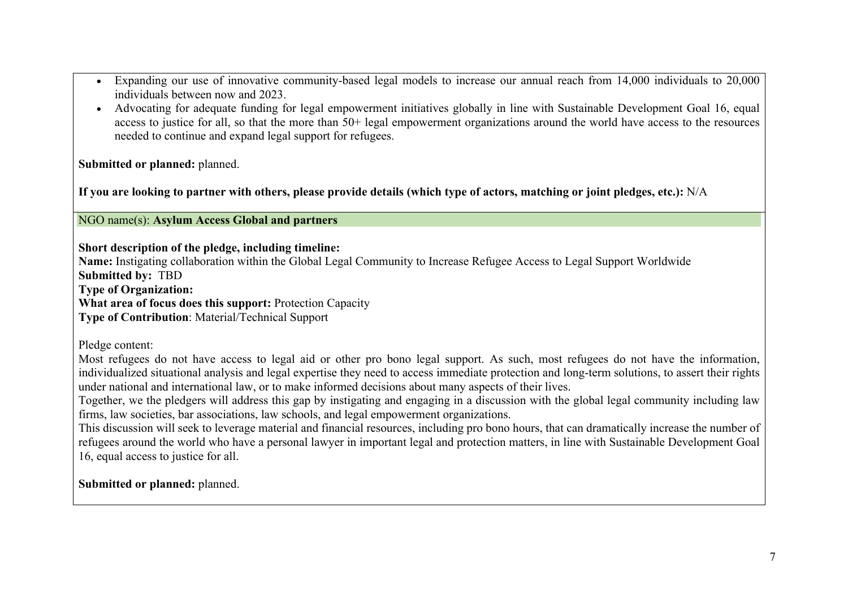- Expanding our use of innovative community-based legal models to increase our annual reach from 14,000 individuals to 20,000 individuals between now and 2023.
- Advocating for adequate funding for legal empowerment initiatives globally in line with Sustainable Development Goal 16, equal access to justice for all, so that the more than 50+ legal empowerment organizations around the world have access to the resources needed to continue and expand legal support for refugees.

**Submitted or planned:** planned.

**If you are looking to partner with others, please provide details (which type of actors, matching or joint pledges, etc.):** N/A

### NGO name(s): **Asylum Access Global and partners**

**Short description of the pledge, including timeline:**

**Name:** Instigating collaboration within the Global Legal Community to Increase Refugee Access to Legal Support Worldwide **Submitted by:** TBD

**Type of Organization:**

**What area of focus does this support:** Protection Capacity

**Type of Contribution**: Material/Technical Support

Pledge content:

Most refugees do not have access to legal aid or other pro bono legal support. As such, most refugees do not have the information, individualized situational analysis and legal expertise they need to access immediate protection and long-term solutions, to assert their rights under national and international law, or to make informed decisions about many aspects of their lives.

Together, we the pledgers will address this gap by instigating and engaging in a discussion with the global legal community including law firms, law societies, bar associations, law schools, and legal empowerment organizations.

This discussion will seek to leverage material and financial resources, including pro bono hours, that can dramatically increase the number of refugees around the world who have a personal lawyer in important legal and protection matters, in line with Sustainable Development Goal 16, equal access to justice for all.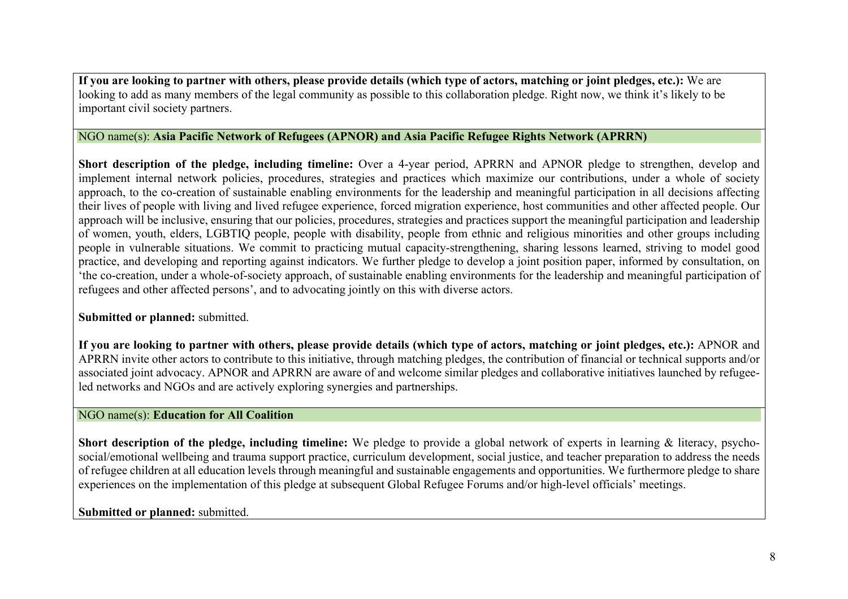**If you are looking to partner with others, please provide details (which type of actors, matching or joint pledges, etc.):** We are looking to add as many members of the legal community as possible to this collaboration pledge. Right now, we think it's likely to be important civil society partners.

# NGO name(s): **Asia Pacific Network of Refugees (APNOR) and Asia Pacific Refugee Rights Network (APRRN)**

**Short description of the pledge, including timeline:** Over a 4-year period, APRRN and APNOR pledge to strengthen, develop and implement internal network policies, procedures, strategies and practices which maximize our contributions, under a whole of society approach, to the co-creation of sustainable enabling environments for the leadership and meaningful participation in all decisions affecting their lives of people with living and lived refugee experience, forced migration experience, host communities and other affected people. Our approach will be inclusive, ensuring that our policies, procedures, strategies and practices support the meaningful participation and leadership of women, youth, elders, LGBTIQ people, people with disability, people from ethnic and religious minorities and other groups including people in vulnerable situations. We commit to practicing mutual capacity-strengthening, sharing lessons learned, striving to model good practice, and developing and reporting against indicators. We further pledge to develop a joint position paper, informed by consultation, on 'the co-creation, under a whole-of-society approach, of sustainable enabling environments for the leadership and meaningful participation of refugees and other affected persons', and to advocating jointly on this with diverse actors.

### **Submitted or planned:** submitted.

If you are looking to partner with others, please provide details (which type of actors, matching or joint pledges, etc.): APNOR and APRRN invite other actors to contribute to this initiative, through matching pledges, the contribution of financial or technical supports and/or associated joint advocacy. APNOR and APRRN are aware of and welcome similar pledges and collaborative initiatives launched by refugeeled networks and NGOs and are actively exploring synergies and partnerships.

## NGO name(s): **Education for All Coalition**

**Short description of the pledge, including timeline:** We pledge to provide a global network of experts in learning & literacy, psychosocial/emotional wellbeing and trauma support practice, curriculum development, social justice, and teacher preparation to address the needs of refugee children at all education levels through meaningful and sustainable engagements and opportunities. We furthermore pledge to share experiences on the implementation of this pledge at subsequent Global Refugee Forums and/or high-level officials' meetings.

# **Submitted or planned:** submitted.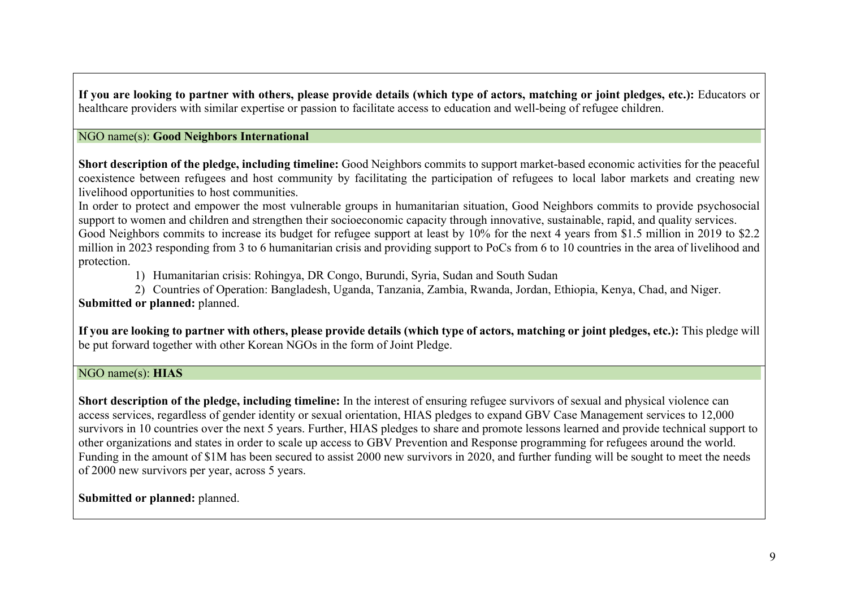**If you are looking to partner with others, please provide details (which type of actors, matching or joint pledges, etc.):** Educators or healthcare providers with similar expertise or passion to facilitate access to education and well-being of refugee children.

## NGO name(s): **Good Neighbors International**

**Short description of the pledge, including timeline:** Good Neighbors commits to support market-based economic activities for the peaceful coexistence between refugees and host community by facilitating the participation of refugees to local labor markets and creating new livelihood opportunities to host communities.

In order to protect and empower the most vulnerable groups in humanitarian situation, Good Neighbors commits to provide psychosocial support to women and children and strengthen their socioeconomic capacity through innovative, sustainable, rapid, and quality services. Good Neighbors commits to increase its budget for refugee support at least by 10% for the next 4 years from \$1.5 million in 2019 to \$2.2 million in 2023 responding from 3 to 6 humanitarian crisis and providing support to PoCs from 6 to 10 countries in the area of livelihood and protection.

1) Humanitarian crisis: Rohingya, DR Congo, Burundi, Syria, Sudan and South Sudan

2) Countries of Operation: Bangladesh, Uganda, Tanzania, Zambia, Rwanda, Jordan, Ethiopia, Kenya, Chad, and Niger. **Submitted or planned:** planned.

**If you are looking to partner with others, please provide details (which type of actors, matching or joint pledges, etc.):** This pledge will be put forward together with other Korean NGOs in the form of Joint Pledge.

## NGO name(s): **HIAS**

**Short description of the pledge, including timeline:** In the interest of ensuring refugee survivors of sexual and physical violence can access services, regardless of gender identity or sexual orientation, HIAS pledges to expand GBV Case Management services to 12,000 survivors in 10 countries over the next 5 years. Further, HIAS pledges to share and promote lessons learned and provide technical support to other organizations and states in order to scale up access to GBV Prevention and Response programming for refugees around the world. Funding in the amount of \$1M has been secured to assist 2000 new survivors in 2020, and further funding will be sought to meet the needs of 2000 new survivors per year, across 5 years.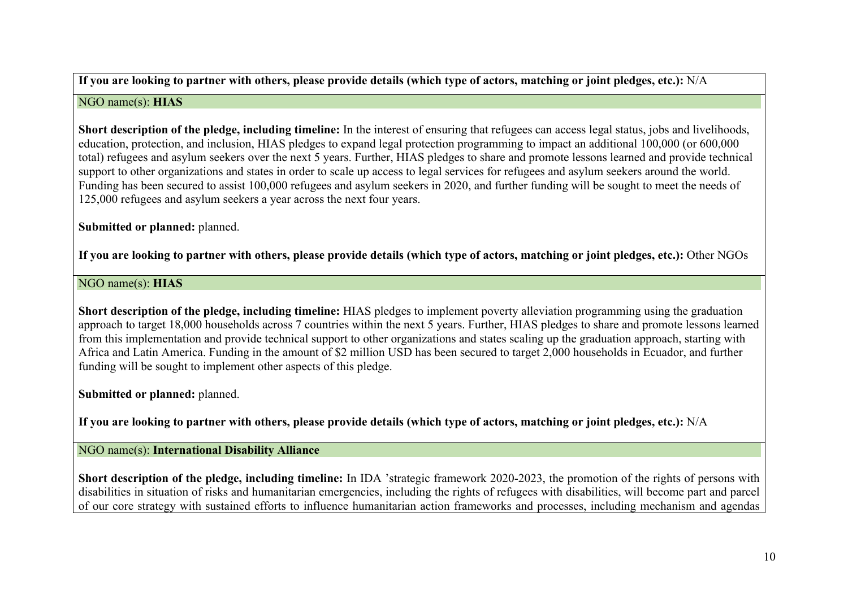**If you are looking to partner with others, please provide details (which type of actors, matching or joint pledges, etc.):** N/A

## NGO name(s): **HIAS**

**Short description of the pledge, including timeline:** In the interest of ensuring that refugees can access legal status, jobs and livelihoods, education, protection, and inclusion, HIAS pledges to expand legal protection programming to impact an additional 100,000 (or 600,000 total) refugees and asylum seekers over the next 5 years. Further, HIAS pledges to share and promote lessons learned and provide technical support to other organizations and states in order to scale up access to legal services for refugees and asylum seekers around the world. Funding has been secured to assist 100,000 refugees and asylum seekers in 2020, and further funding will be sought to meet the needs of 125,000 refugees and asylum seekers a year across the next four years.

**Submitted or planned:** planned.

**If you are looking to partner with others, please provide details (which type of actors, matching or joint pledges, etc.):** Other NGOs

# NGO name(s): **HIAS**

**Short description of the pledge, including timeline:** HIAS pledges to implement poverty alleviation programming using the graduation approach to target 18,000 households across 7 countries within the next 5 years. Further, HIAS pledges to share and promote lessons learned from this implementation and provide technical support to other organizations and states scaling up the graduation approach, starting with Africa and Latin America. Funding in the amount of \$2 million USD has been secured to target 2,000 households in Ecuador, and further funding will be sought to implement other aspects of this pledge.

**Submitted or planned:** planned.

**If you are looking to partner with others, please provide details (which type of actors, matching or joint pledges, etc.):** N/A

NGO name(s): **International Disability Alliance**

**Short description of the pledge, including timeline:** In IDA 'strategic framework 2020-2023, the promotion of the rights of persons with disabilities in situation of risks and humanitarian emergencies, including the rights of refugees with disabilities, will become part and parcel of our core strategy with sustained efforts to influence humanitarian action frameworks and processes, including mechanism and agendas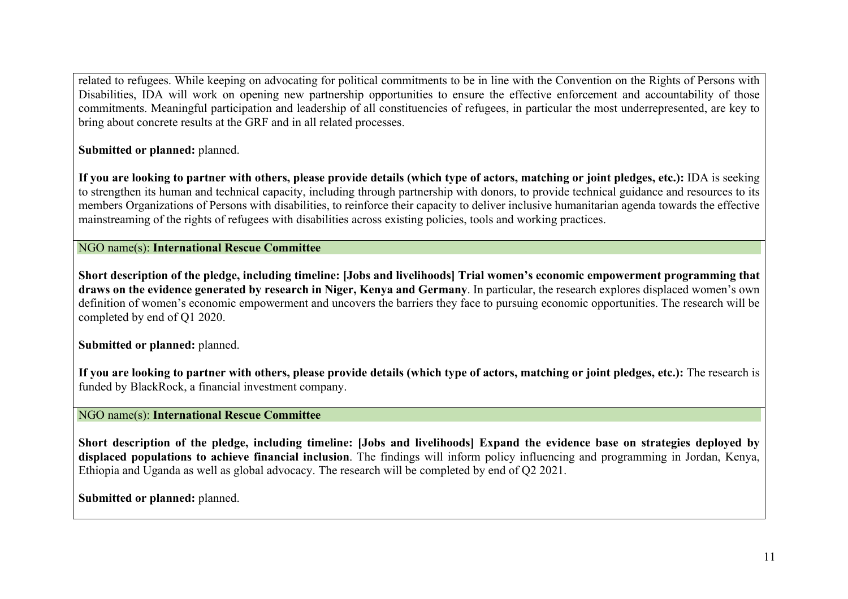related to refugees. While keeping on advocating for political commitments to be in line with the Convention on the Rights of Persons with Disabilities, IDA will work on opening new partnership opportunities to ensure the effective enforcement and accountability of those commitments. Meaningful participation and leadership of all constituencies of refugees, in particular the most underrepresented, are key to bring about concrete results at the GRF and in all related processes.

**Submitted or planned:** planned.

**If you are looking to partner with others, please provide details (which type of actors, matching or joint pledges, etc.):** IDA is seeking to strengthen its human and technical capacity, including through partnership with donors, to provide technical guidance and resources to its members Organizations of Persons with disabilities, to reinforce their capacity to deliver inclusive humanitarian agenda towards the effective mainstreaming of the rights of refugees with disabilities across existing policies, tools and working practices.

NGO name(s): **International Rescue Committee**

**Short description of the pledge, including timeline: [Jobs and livelihoods] Trial women's economic empowerment programming that draws on the evidence generated by research in Niger, Kenya and Germany**. In particular, the research explores displaced women's own definition of women's economic empowerment and uncovers the barriers they face to pursuing economic opportunities. The research will be completed by end of Q1 2020.

**Submitted or planned:** planned.

**If you are looking to partner with others, please provide details (which type of actors, matching or joint pledges, etc.):** The research is funded by BlackRock, a financial investment company.

NGO name(s): **International Rescue Committee**

**Short description of the pledge, including timeline: [Jobs and livelihoods] Expand the evidence base on strategies deployed by displaced populations to achieve financial inclusion**. The findings will inform policy influencing and programming in Jordan, Kenya, Ethiopia and Uganda as well as global advocacy. The research will be completed by end of Q2 2021.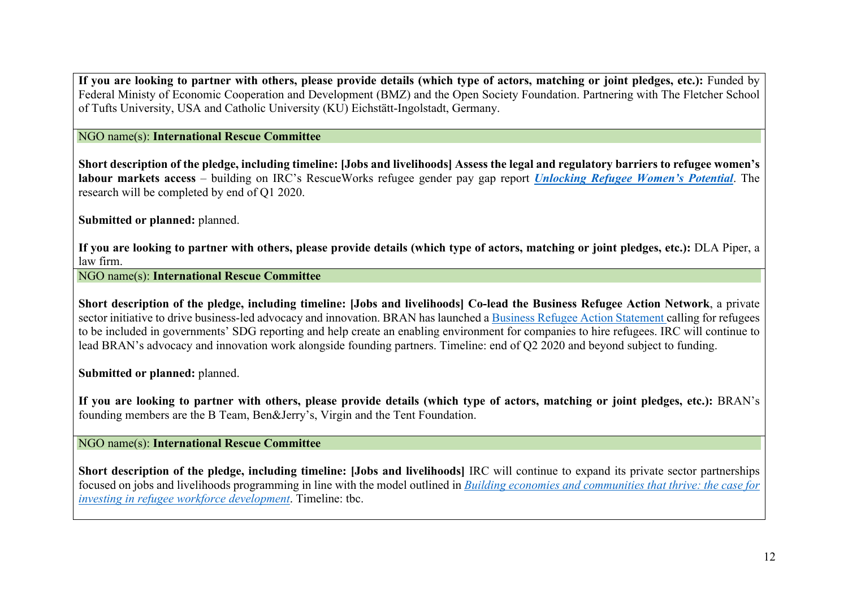**If you are looking to partner with others, please provide details (which type of actors, matching or joint pledges, etc.):** Funded by Federal Ministy of Economic Cooperation and Development (BMZ) and the Open Society Foundation. Partnering with The Fletcher School of Tufts University, USA and Catholic University (KU) Eichstätt-Ingolstadt, Germany.

### NGO name(s): **International Rescue Committee**

**Short description of the pledge, including timeline: [Jobs and livelihoods] Assess the legal and regulatory barriers to refugee women's labour markets access** – building on IRC's RescueWorks refugee gender pay gap report *Unlocking Refugee Women's Potential*. The research will be completed by end of Q1 2020.

**Submitted or planned:** planned.

**If you are looking to partner with others, please provide details (which type of actors, matching or joint pledges, etc.):** DLA Piper, a law firm.

NGO name(s): **International Rescue Committee**

**Short description of the pledge, including timeline: [Jobs and livelihoods] Co-lead the Business Refugee Action Network**, a private sector initiative to drive business-led advocacy and innovation. BRAN has launched a Business Refugee Action Statement calling for refugees to be included in governments' SDG reporting and help create an enabling environment for companies to hire refugees. IRC will continue to lead BRAN's advocacy and innovation work alongside founding partners. Timeline: end of Q2 2020 and beyond subject to funding.

**Submitted or planned:** planned.

**If you are looking to partner with others, please provide details (which type of actors, matching or joint pledges, etc.):** BRAN's founding members are the B Team, Ben&Jerry's, Virgin and the Tent Foundation.

NGO name(s): **International Rescue Committee**

**Short description of the pledge, including timeline:** [Jobs and livelihoods] IRC will continue to expand its private sector partnerships focused on jobs and livelihoods programming in line with the model outlined in *Building economies and communities that thrive: the case for investing in refugee workforce development*. Timeline: tbc.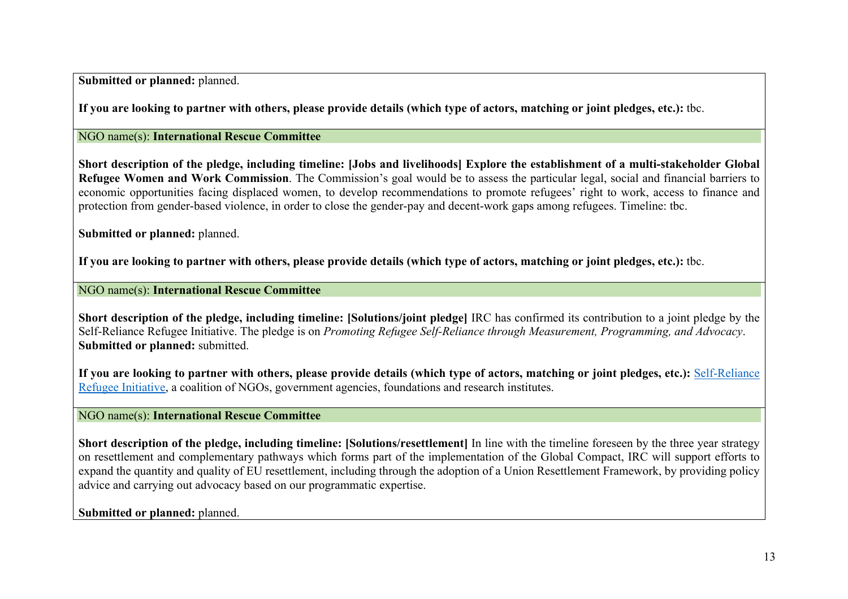**Submitted or planned:** planned.

**If you are looking to partner with others, please provide details (which type of actors, matching or joint pledges, etc.):** tbc.

NGO name(s): **International Rescue Committee**

**Short description of the pledge, including timeline: [Jobs and livelihoods] Explore the establishment of a multi-stakeholder Global Refugee Women and Work Commission**. The Commission's goal would be to assess the particular legal, social and financial barriers to economic opportunities facing displaced women, to develop recommendations to promote refugees' right to work, access to finance and protection from gender-based violence, in order to close the gender-pay and decent-work gaps among refugees. Timeline: tbc.

**Submitted or planned:** planned.

**If you are looking to partner with others, please provide details (which type of actors, matching or joint pledges, etc.):** tbc.

NGO name(s): **International Rescue Committee**

**Short description of the pledge, including timeline: [Solutions/joint pledge]** IRC has confirmed its contribution to a joint pledge by the Self-Reliance Refugee Initiative. The pledge is on *Promoting Refugee Self-Reliance through Measurement, Programming, and Advocacy*. **Submitted or planned:** submitted.

**If you are looking to partner with others, please provide details (which type of actors, matching or joint pledges, etc.):** Self-Reliance Refugee Initiative, a coalition of NGOs, government agencies, foundations and research institutes.

NGO name(s): **International Rescue Committee**

**Short description of the pledge, including timeline: [Solutions/resettlement]** In line with the timeline foreseen by the three year strategy on resettlement and complementary pathways which forms part of the implementation of the Global Compact, IRC will support efforts to expand the quantity and quality of EU resettlement, including through the adoption of a Union Resettlement Framework, by providing policy advice and carrying out advocacy based on our programmatic expertise.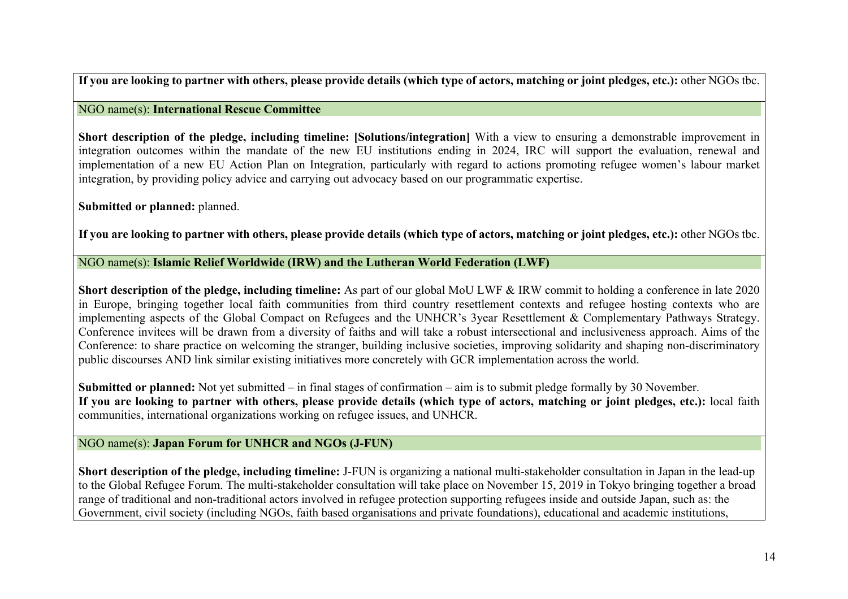**If you are looking to partner with others, please provide details (which type of actors, matching or joint pledges, etc.):** other NGOs tbc.

## NGO name(s): **International Rescue Committee**

**Short description of the pledge, including timeline: [Solutions/integration]** With a view to ensuring a demonstrable improvement in integration outcomes within the mandate of the new EU institutions ending in 2024, IRC will support the evaluation, renewal and implementation of a new EU Action Plan on Integration, particularly with regard to actions promoting refugee women's labour market integration, by providing policy advice and carrying out advocacy based on our programmatic expertise.

**Submitted or planned:** planned.

**If you are looking to partner with others, please provide details (which type of actors, matching or joint pledges, etc.):** other NGOs tbc.

NGO name(s): **Islamic Relief Worldwide (IRW) and the Lutheran World Federation (LWF)**

**Short description of the pledge, including timeline:** As part of our global MoU LWF & IRW commit to holding a conference in late 2020 in Europe, bringing together local faith communities from third country resettlement contexts and refugee hosting contexts who are implementing aspects of the Global Compact on Refugees and the UNHCR's 3year Resettlement & Complementary Pathways Strategy. Conference invitees will be drawn from a diversity of faiths and will take a robust intersectional and inclusiveness approach. Aims of the Conference: to share practice on welcoming the stranger, building inclusive societies, improving solidarity and shaping non-discriminatory public discourses AND link similar existing initiatives more concretely with GCR implementation across the world.

**Submitted or planned:** Not yet submitted – in final stages of confirmation – aim is to submit pledge formally by 30 November. **If you are looking to partner with others, please provide details (which type of actors, matching or joint pledges, etc.):** local faith communities, international organizations working on refugee issues, and UNHCR.

# NGO name(s): **Japan Forum for UNHCR and NGOs (J-FUN)**

**Short description of the pledge, including timeline:** J-FUN is organizing a national multi-stakeholder consultation in Japan in the lead-up to the Global Refugee Forum. The multi-stakeholder consultation will take place on November 15, 2019 in Tokyo bringing together a broad range of traditional and non-traditional actors involved in refugee protection supporting refugees inside and outside Japan, such as: the Government, civil society (including NGOs, faith based organisations and private foundations), educational and academic institutions,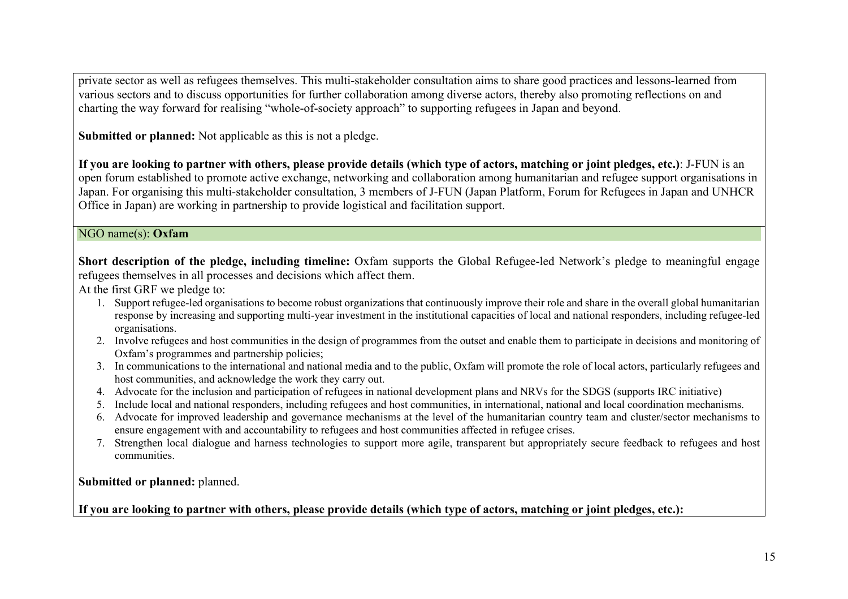private sector as well as refugees themselves. This multi-stakeholder consultation aims to share good practices and lessons-learned from various sectors and to discuss opportunities for further collaboration among diverse actors, thereby also promoting reflections on and charting the way forward for realising "whole-of-society approach" to supporting refugees in Japan and beyond.

**Submitted or planned:** Not applicable as this is not a pledge.

**If you are looking to partner with others, please provide details (which type of actors, matching or joint pledges, etc.)**: J-FUN is an open forum established to promote active exchange, networking and collaboration among humanitarian and refugee support organisations in Japan. For organising this multi-stakeholder consultation, 3 members of J-FUN (Japan Platform, Forum for Refugees in Japan and UNHCR Office in Japan) are working in partnership to provide logistical and facilitation support.

# NGO name(s): **Oxfam**

**Short description of the pledge, including timeline:** Oxfam supports the Global Refugee-led Network's pledge to meaningful engage refugees themselves in all processes and decisions which affect them.

At the first GRF we pledge to:

- 1. Support refugee-led organisations to become robust organizations that continuously improve their role and share in the overall global humanitarian response by increasing and supporting multi-year investment in the institutional capacities of local and national responders, including refugee-led organisations.
- 2. Involve refugees and host communities in the design of programmes from the outset and enable them to participate in decisions and monitoring of Oxfam's programmes and partnership policies;
- 3. In communications to the international and national media and to the public, Oxfam will promote the role of local actors, particularly refugees and host communities, and acknowledge the work they carry out.
- 4. Advocate for the inclusion and participation of refugees in national development plans and NRVs for the SDGS (supports IRC initiative)
- 5. Include local and national responders, including refugees and host communities, in international, national and local coordination mechanisms.
- 6. Advocate for improved leadership and governance mechanisms at the level of the humanitarian country team and cluster/sector mechanisms to ensure engagement with and accountability to refugees and host communities affected in refugee crises.
- 7. Strengthen local dialogue and harness technologies to support more agile, transparent but appropriately secure feedback to refugees and host communities.

**Submitted or planned:** planned.

**If you are looking to partner with others, please provide details (which type of actors, matching or joint pledges, etc.):**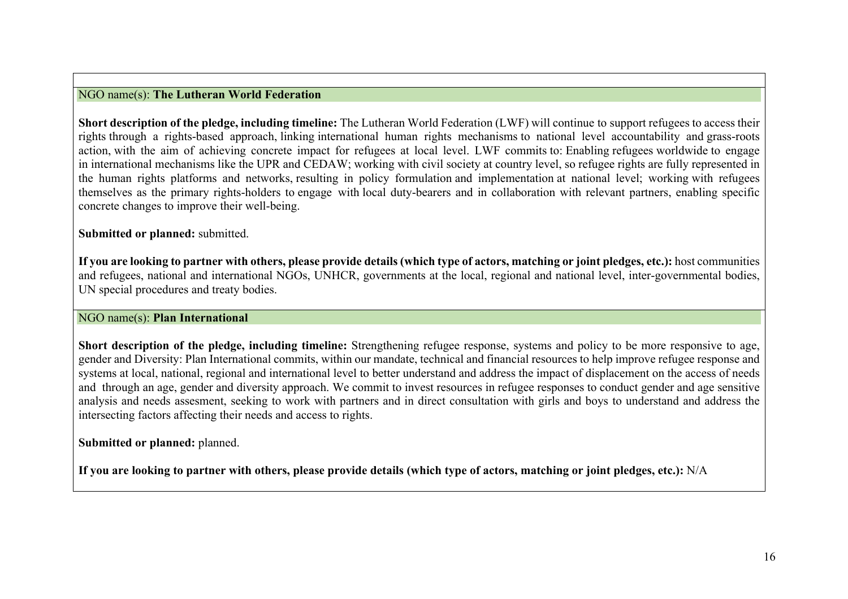### NGO name(s): **The Lutheran World Federation**

**Short description of the pledge, including timeline:** The Lutheran World Federation (LWF) will continue to support refugees to access their rights through a rights-based approach, linking international human rights mechanisms to national level accountability and grass-roots action, with the aim of achieving concrete impact for refugees at local level. LWF commits to: Enabling refugees worldwide to engage in international mechanisms like the UPR and CEDAW; working with civil society at country level, so refugee rights are fully represented in the human rights platforms and networks, resulting in policy formulation and implementation at national level; working with refugees themselves as the primary rights-holders to engage with local duty-bearers and in collaboration with relevant partners, enabling specific concrete changes to improve their well-being.

#### **Submitted or planned:** submitted.

**If you are looking to partner with others, please provide details (which type of actors, matching or joint pledges, etc.):** host communities and refugees, national and international NGOs, UNHCR, governments at the local, regional and national level, inter-governmental bodies, UN special procedures and treaty bodies.

# NGO name(s): **Plan International**

**Short description of the pledge, including timeline:** Strengthening refugee response, systems and policy to be more responsive to age, gender and Diversity: Plan International commits, within our mandate, technical and financial resources to help improve refugee response and systems at local, national, regional and international level to better understand and address the impact of displacement on the access of needs and through an age, gender and diversity approach. We commit to invest resources in refugee responses to conduct gender and age sensitive analysis and needs assesment, seeking to work with partners and in direct consultation with girls and boys to understand and address the intersecting factors affecting their needs and access to rights.

#### **Submitted or planned:** planned.

**If you are looking to partner with others, please provide details (which type of actors, matching or joint pledges, etc.):** N/A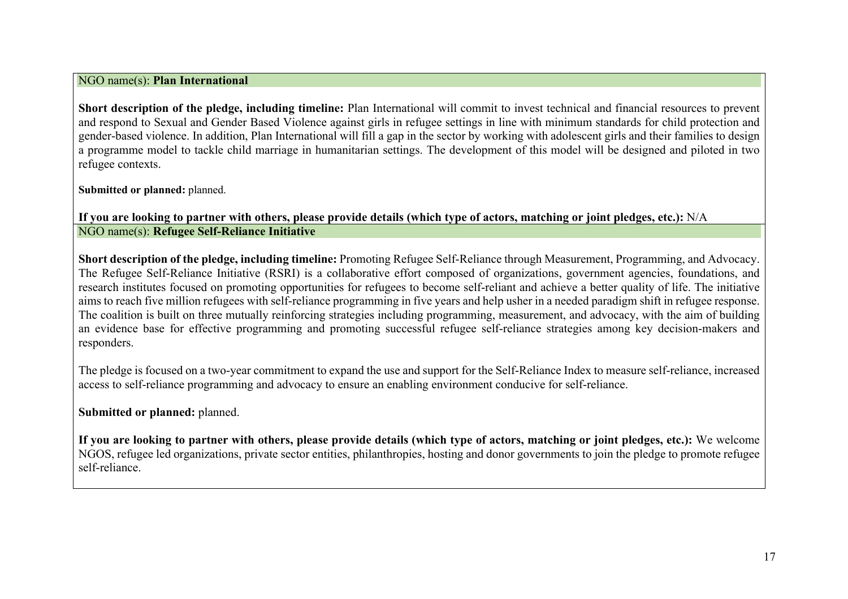#### NGO name(s): **Plan International**

**Short description of the pledge, including timeline:** Plan International will commit to invest technical and financial resources to prevent and respond to Sexual and Gender Based Violence against girls in refugee settings in line with minimum standards for child protection and gender-based violence. In addition, Plan International will fill a gap in the sector by working with adolescent girls and their families to design a programme model to tackle child marriage in humanitarian settings. The development of this model will be designed and piloted in two refugee contexts.

**Submitted or planned:** planned.

**If you are looking to partner with others, please provide details (which type of actors, matching or joint pledges, etc.):** N/A NGO name(s): **Refugee Self-Reliance Initiative**

**Short description of the pledge, including timeline:** Promoting Refugee Self-Reliance through Measurement, Programming, and Advocacy. The Refugee Self-Reliance Initiative (RSRI) is a collaborative effort composed of organizations, government agencies, foundations, and research institutes focused on promoting opportunities for refugees to become self-reliant and achieve a better quality of life. The initiative aims to reach five million refugees with self-reliance programming in five years and help usher in a needed paradigm shift in refugee response. The coalition is built on three mutually reinforcing strategies including programming, measurement, and advocacy, with the aim of building an evidence base for effective programming and promoting successful refugee self-reliance strategies among key decision-makers and responders.

The pledge is focused on a two-year commitment to expand the use and support for the Self-Reliance Index to measure self-reliance, increased access to self-reliance programming and advocacy to ensure an enabling environment conducive for self-reliance.

**Submitted or planned:** planned.

**If you are looking to partner with others, please provide details (which type of actors, matching or joint pledges, etc.):** We welcome NGOS, refugee led organizations, private sector entities, philanthropies, hosting and donor governments to join the pledge to promote refugee self-reliance.